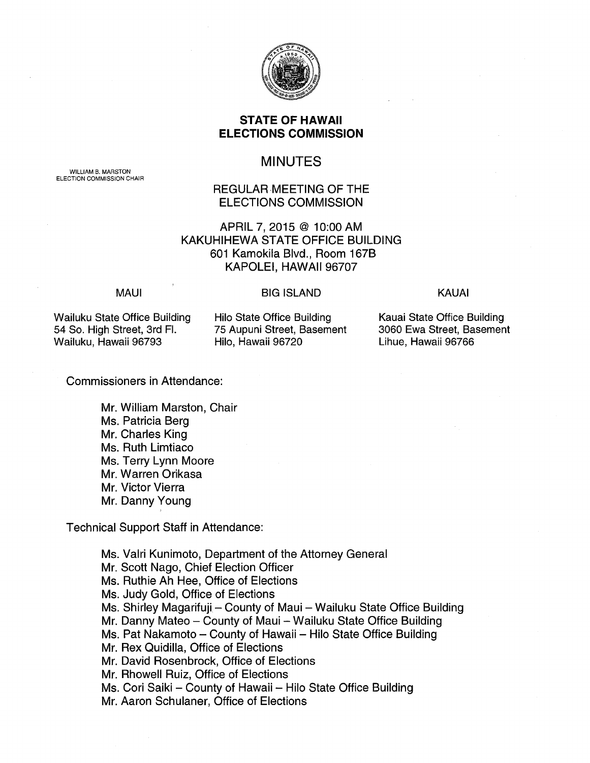

### **STATE OF HAWAII ELECTIONS COMMISSION**

# MINUTES

## REGULAR MEETING OF THE ELECTIONS COMMISSION

## APRIL 7, 2015 @ 10:00 AM KAKUHIHEWA STATE OFFICE BUILDING 601 Kamokila Blvd., Room 167B KAPOLEI, HAWAII 96707

#### MAUl

#### BIG ISLAND KAUAI

Wailuku State Office Building 54 So. High Street, 3rd Fl. Wailuku, Hawaii 96793

Hilo State Office Building 75 Aupuni Street, Basement Hilo, Hawaii 96720

Kauai State Office Building 3060 Ewa Street, Basement Lihue, Hawaii 96766

Commissioners in Attendance:

Mr. William Marston, Chair Ms. Patricia Berg Mr. Charles King Ms. Ruth Limtiaco Ms. Terry Lynn Moore Mr. Warren Orikasa Mr. Victor Vierra Mr. Danny Young

Technical Support Staff in Attendance:

Ms. Valri Kunimoto, Department of the Attorney General Mr. Scott Nago, Chief Election Officer Ms. Ruthie Ah Hee, Office of Elections Ms. Judy Gold, Office of Elections Ms. Shirley Magarifuji - County of Maui - Wailuku State Office Building Mr. Danny Mateo- County of Maui- Wailuku State Office Building Ms. Pat Nakamoto - County of Hawaii - Hilo State Office Building Mr. Rex Quidilla, Office of Elections Mr. David Rosenbrock, Office of Elections Mr. Rhowell Ruiz, Office of Elections Ms. Cori Saiki - County of Hawaii - Hilo State Office Building Mr. Aaron Schulaner, Office of Elections

WILLIAM B. MARSTON ELECTION COMMISSION CHAIR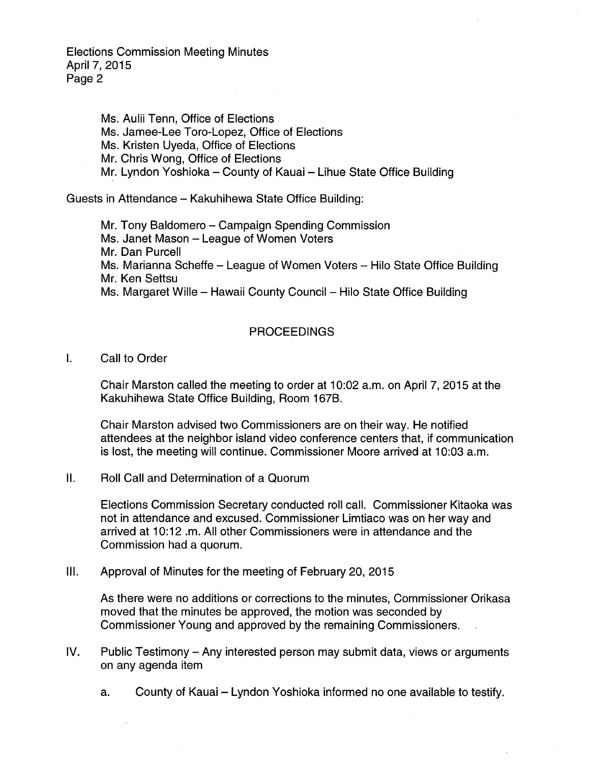> Ms. Aulii Tenn, Office of Elections Ms. Jamee-Lee Toro-Lopez, Office of Elections Ms. Kristen Uyeda, Office of Elections Mr. Chris Wong, Office of Elections Mr. Lyndon Yoshioka - County of Kauai - Lihue State Office Building

Guests in Attendance- Kakuhihewa State Office Building:

Mr. Tony Baldomero - Campaign Spending Commission Ms. Janet Mason - League of Women Voters Mr. Dan Purcell Ms. Marianna Scheffe - League of Women Voters - Hilo State Office Building Mr. Ken Settsu Ms. Margaret Wille - Hawaii County Council - Hilo State Office Building

# PROCEEDINGS

### I. Call to Order

Chair Marston called the meeting to order at 10:02 a.m. on April 7, 2015 at the Kakuhihewa State Office Building, Room 167B.

Chair Marston advised two Commissioners are on their way. He notified attendees at the neighbor island video conference centers that, if communication is lost, the meeting will continue. Commissioner Moore arrived at 10:03 a.m.

II. Roll Call and Determination of a Quorum

Elections Commission Secretary conducted roll call. Commissioner Kitaoka was not in attendance and excused. Commissioner Limtiaco was on her way and arrived at 10:12 .m. All other Commissioners were in attendance and the Commission had a quorum.

Ill. Approval of Minutes for the meeting of February 20, 2015

As there were no additions or corrections to the minutes, Commissioner Orikasa moved that the minutes be approved, the motion was seconded by Commissioner Young and approved by the remaining Commissioners.

- IV. Public Testimony- Any interested person may submit data, views or arguments on any agenda item
	- a. County of Kauai- Lyndon Yoshioka informed no one available to testify.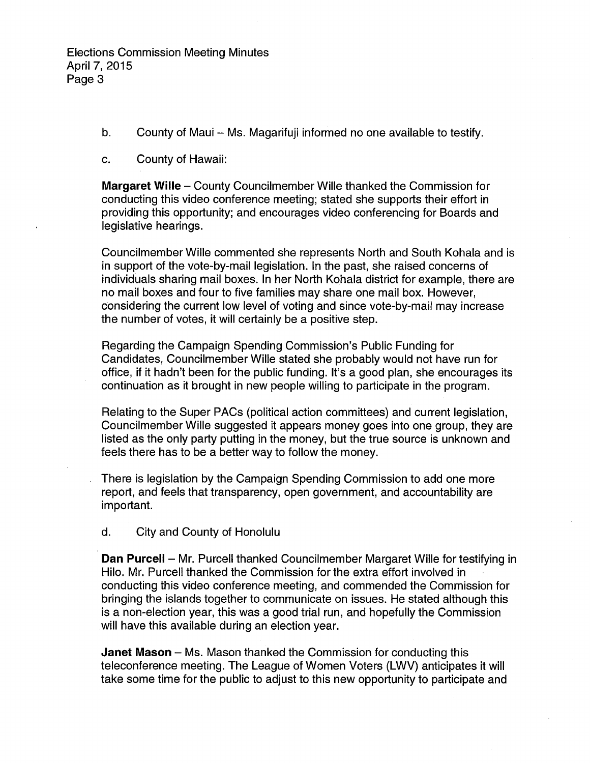- b. County of Maui Ms. Magarifuji informed no one available to testify.
- c. County of Hawaii:

**Margaret Wille-** County Councilmember Wille thanked the Commission for conducting this video conference meeting; stated she supports their effort in providing this opportunity; and encourages video conferencing for Boards and legislative hearings.

Councilmember Wille commented she represents North and South Kohala and is in support of the vote-by-mail legislation. In the past, she raised concerns of individuals sharing mail boxes. In her North Kohala district for example, there are no mail boxes and four to five families may share one mail box. However, considering the current low level of voting and since vote-by-mail may increase the number of votes, it will certainly be a positive step.

Regarding the Campaign Spending Commission's Public Funding for Candidates, Councilmember Wille stated she probably would not have run for office, if it hadn't been for the public funding. It's a good plan, she encourages its continuation as it brought in new people willing to participate in the program.

Relating to the Super PACs (political action committees) and current legislation, Councilmember Wille suggested it appears money goes into one group, they are listed as the only party putting in the money, but the true source is unknown and feels there has to be a better way to follow the money.

There is legislation by the Campaign Spending Commission to add one more report, and feels that transparency, open government, and accountability are important.

d. City and County of Honolulu

**Dan Purcell** – Mr. Purcell thanked Councilmember Margaret Wille for testifying in Hilo. Mr. Purcell thanked the Commission for the extra effort involved in conducting this video conference meeting, and commended the Commission for bringing the islands together to communicate on issues. He stated although this is a non-election year, this was a good trial run, and hopefully the Commission will have this available during an election year.

**Janet Mason-** Ms. Mason thanked the Commission for conducting this teleconference meeting. The League of Women Voters (LWV) anticipates it will take some time for the public to adjust to this new opportunity to participate and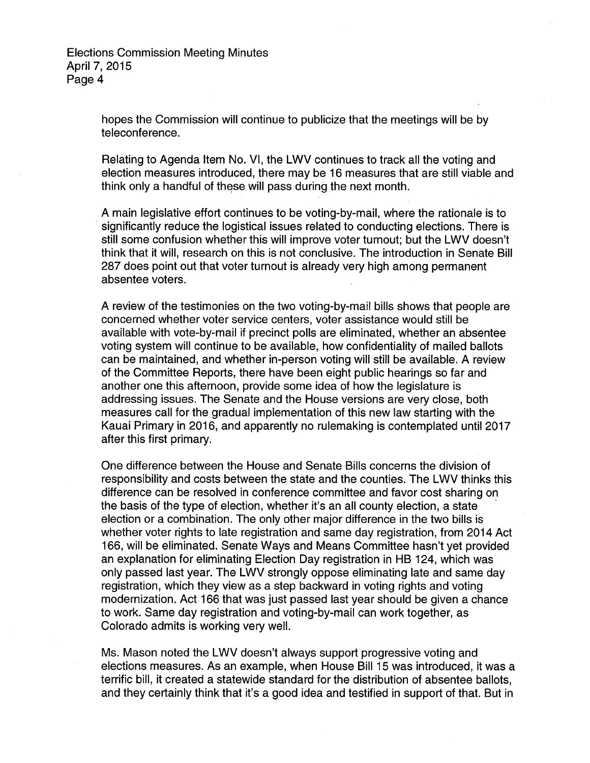hopes the Commission will continue to publicize that the meetings will be by teleconference.

Relating to Agenda Item No. VI, the LWV continues to track all the voting and election measures introduced, there may be 16 measures that are still viable and think only a handful of these will pass during the next month.

A main legislative effort continues to be voting-by-mail, where the rationale is to significantly reduce the logistical issues related to conducting elections. There is still some confusion whether this will improve voter turnout; but the LWV doesn't think that it will, research on this is not conclusive. The introduction in Senate Bill 287 does point out that voter turnout is already very high among permanent absentee voters.

A review of the testimonies on the two voting-by-mail bills shows that people are concerned whether voter service centers, voter assistance would still be available with vote-by-mail if precinct polls are eliminated, whether an absentee voting system will continue to be available, how confidentiality of mailed ballots can be maintained, and whether in-person voting will still be available. A review of the Committee Reports, there have been eight public hearings so far and another one this afternoon, provide some idea of how the legislature is addressing issues. The Senate and the House versions are very close, both measures call for the gradual implementation of this new law starting with the Kauai Primary in 2016, and apparently no rulemaking is contemplated until 2017 after this first primary.

One difference between the House and Senate Bills concerns the division of responsibility and costs between the state and the counties. The LWV thinks this difference can be resolved in conference committee and favor cost sharing on the basis of the type of election, whether it's an all county election, a state election or a combination. The only other major difference in the two bills is whether voter rights to late registration and same day registration, from 2014 Act 166, will be eliminated. Senate Ways and Means Committee hasn't yet provided an explanation for eliminating Election Day registration in HB 124, which was only passed last year. The LWV strongly oppose eliminating late and same day registration, which they view as a step backward in voting rights and voting modernization. Act 166 that was just passed last year should be given a chance to work. Same day registration and voting-by-mail can work together, as Colorado admits is working very well.

Ms. Mason noted the LWV doesn't always support progressive voting and elections measures. As an example, when House Bill 15 was introduced, it was a terrific bill, it created a statewide standard for the distribution of absentee ballots, and they certainly think that it's a good idea and testified in support of that. But in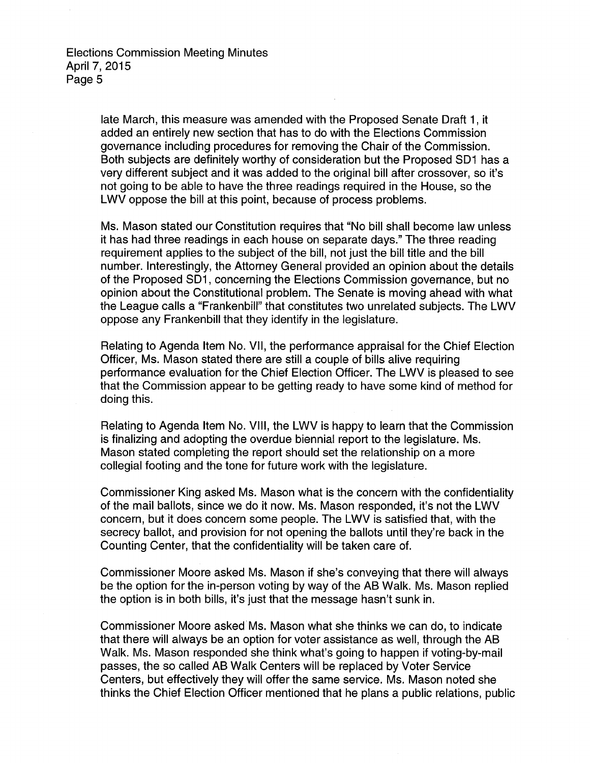> late March, this measure was amended with the Proposed Senate Draft 1, it added an entirely new section that has to do with the Elections Commission governance including procedures for removing the Chair of the Commission. Both subjects are definitely worthy of consideration but the Proposed SD1 has a very different subject and it was added to the original bill after crossover, so it's not going to be able to have the three readings required in the House, so the LWV oppose the bill at this point, because of process problems.

Ms. Mason stated our Constitution requires that "No bill shall become law unless it has had three readings in each house on separate days." The three reading requirement applies to the subject of the bill, not just the bill title and the bill number. Interestingly, the Attorney General provided an opinion about the details of the Proposed SD1, concerning the Elections Commission governance, but no opinion about the Constitutional problem. The Senate is moving ahead with what the League calls a "Frankenbill" that constitutes two unrelated subjects. The LWV oppose any Frankenbill that they identify in the legislature.

Relating to Agenda Item No. VII, the performance appraisal for the Chief Election Officer, Ms. Mason stated there are still a couple of bills alive requiring performance evaluation for the Chief Election Officer. The LWV is pleased to see that the Commission appear to be getting ready to have some kind of method for doing this.

Relating to Agenda Item No. VIII, the LWV is happy to learn that the Commission is finalizing and adopting the overdue biennial report to the legislature. Ms. Mason stated completing the report should set the relationship on a more collegial footing and the tone for future work with the legislature.

Commissioner King asked Ms. Mason what is the concern with the confidentiality of the mail ballots, since we do it now. Ms. Mason responded, it's not the LWV concern, but it does concern some people. The LWV is satisfied that, with the secrecy ballot, and provision for not opening the ballots until they're back in the Counting Center, that the confidentiality will be taken care of.

Commissioner Moore asked Ms. Mason if she's conveying that there will always be the option for the in-person voting by way of the AB Walk. Ms. Mason replied the option is in both bills, it's just that the message hasn't sunk in.

Commissioner Moore asked'Ms. Mason what she thinks we can do, to indicate that there will always be an option for voter assistance as well, through the AB Walk. Ms. Mason responded she think what's going to happen if voting-by-mail passes, the so called AB Walk Centers will be replaced by Voter Service Centers, but effectively they will offer the same service. Ms. Mason noted she thinks the Chief Election Officer mentioned that he plans a public relations, public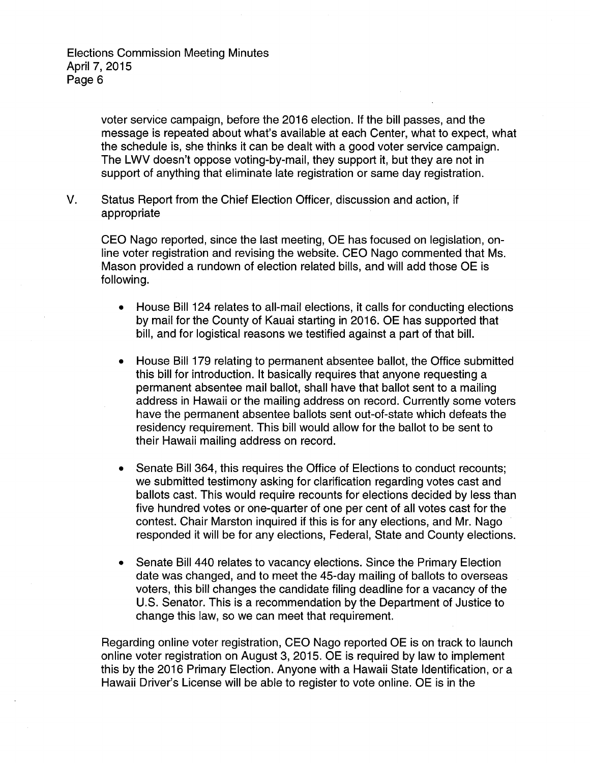voter service campaign, before the 2016 election. If the bill passes, and the message is repeated about what's available at each Center, what to expect, what the schedule is, she thinks it can be dealt with a good voter service campaign. The LWV doesn't oppose voting-by-mail, they support it, but they are not in support of anything that eliminate late registration or same day registration.

V. Status Report from the Chief Election Officer, discussion and action, if appropriate

CEO Nago reported, since the last meeting, OE has focused on legislation, online voter registration and revising the website. CEO Nago commented that Ms. Mason provided a rundown of election related bills, and will add those OE is following.

- House Bill 124 relates to all-mail elections, it calls for conducting elections by mail for the County of Kauai starting in 2016. OE has supported that bill, and for logistical reasons we testified against a part of that bill.
- House Bill 179 relating to permanent absentee ballot, the Office submitted this bill for introduction. It basically requires that anyone requesting a permanent absentee mail ballot, shall have that ballot sent to a mailing address in Hawaii or the mailing address on record. Currently some voters have the permanent absentee ballots sent out-of-state which defeats the residency requirement. This bill would allow for the ballot to be sent to their Hawaii mailing address on record.
- Senate Bill 364, this requires the Office of Elections to conduct recounts; we submitted testimony asking for clarification regarding votes cast and ballots cast. This would require recounts for elections decided by less than five hundred votes or one-quarter of one per cent of all votes cast for the contest. Chair Marston inquired if this is for any elections, and Mr. Nago responded it will be for any elections, Federal, State and County elections.
- Senate Bill 440 relates to vacancy elections. Since the Primary Election date was changed, and to meet the 45-day mailing of ballots to overseas voters, this bill changes the candidate filing deadline for a vacancy of the U.S. Senator. This is a recommendation by the Department of Justice to change this law, so we can meet that requirement.

Regarding online voter registration, CEO Nago reported OE is on track to launch online voter registration on August 3, 2015. OE is required by law to implement this by the 2016 Primary Election. Anyone with a Hawaii State Identification, or a Hawaii Driver's License will be able to register to vote online. OE is in the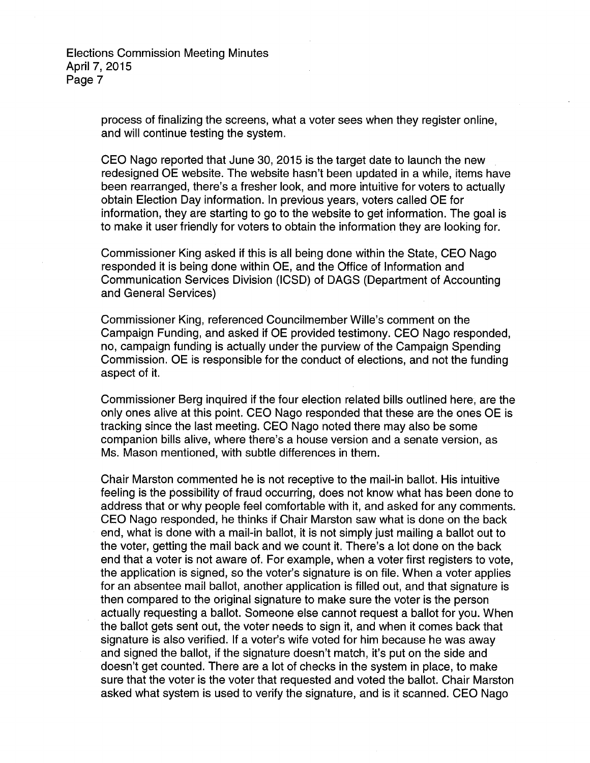> process of finalizing the screens, what a voter sees when they register online, and will continue testing the system.

CEO Nago reported that June 30, 2015 is the target date to launch the new redesigned OE website. The website hasn't been updated in a while, items have been rearranged, there's a fresher look, and more intuitive for voters to actually obtain Election Day information. In previous years, voters called OE for information, they are starting to go to the website to get information. The goal is to make it user friendly for voters to obtain the information they are looking for.

Commissioner King asked if this is all being done within the State, CEO Nago responded it is being done within OE, and the Office of Information and Communication Services Division (ICSD) of DAGS (Department of Accounting and General Services)

Commissioner King, referenced Councilmember Wille's comment on the Campaign Funding, and asked if OE provided testimony. CEO Nago responded, no, campaign funding is actually under the purview of the Campaign Spending Commission. OE is responsible for the conduct of elections, and not the funding aspect of it.

Commissioner Berg inquired if the four election related bills outlined here, are the only ones alive at this point. CEO Nago responded that these are the ones OE is tracking since the last meeting. CEO Nago noted there may also be some companion bills alive, where there's a house version and a senate version, as Ms. Mason mentioned, with subtle differences in them.

Chair Marston commented he is not receptive to the mail-in ballot. His intuitive feeling is the possibility of fraud occurring, does not know what has been done to address that or why people feel comfortable with it, and asked for any comments. CEO Nago responded, he thinks if Chair Marston saw what is done on the back end, what is done with a mail-in ballot, it is not simply just mailing a ballot out to the voter, getting the mail back and we count it. There's a lot done on the back end that a voter is not aware of. For example, when a voter first registers to vote, the application is signed, so the voter's signature is on file. When a voter applies for an absentee mail ballot, another application is filled out, and that signature is then compared to the original signature to make sure the voter is the person actually requesting a ballot. Someone else cannot request a ballot for you. When the ballot gets sent out, the voter needs to sign it, and when it comes back that signature is also verified. If a voter's wife voted for him because he was away and signed the ballot, if the signature doesn't match, it's put on the side and doesn't get counted. There are a lot of checks in the system in place, to make sure that the voter is the voter that requested and voted the ballot. Chair Marston asked what system is used to verify the signature, and is it scanned. CEO Nago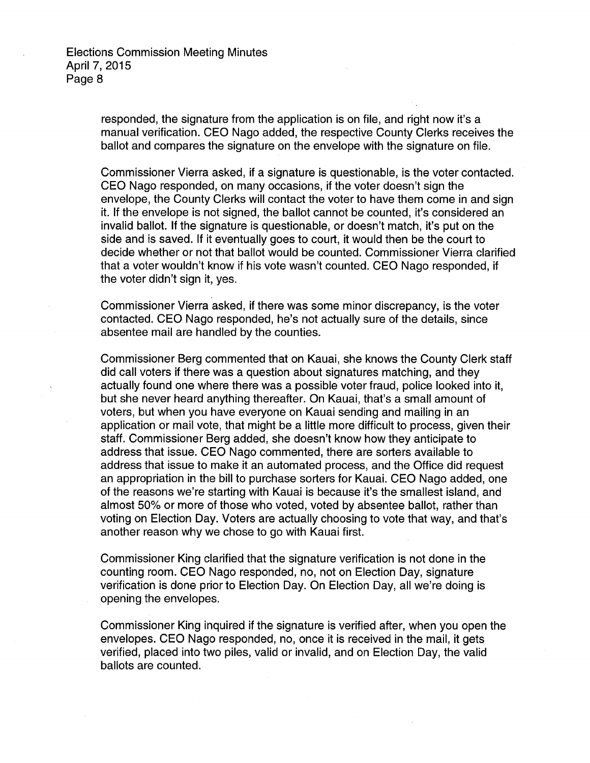responded, the signature from the application is on file, and right now it's a manual verification. CEO Nago added, the respective County Clerks receives the ballot and compares the signature on the envelope with the signature on file.

Commissioner Vierra asked, if a signature is questionable, is the voter contacted. CEO Nago responded, on many occasions, if the voter doesn't sign the envelope, the County Clerks will contact the voter to have them come in and sign it. If the envelope is not signed, the ballot cannot be counted, it's considered an invalid ballot. If the signature is questionable, or doesn't match, it's put on the side and is saved. If it eventually goes to court, it would then be the court to decide whether or not that ballot would be counted. Commissioner Vierra clarified that a voter wouldn't know if his vote wasn't counted. CEO Nago responded, if the voter didn't sign it, yes.

Commissioner Vierra asked, if there was some minor discrepancy, is the voter contacted. CEO Nago responded, he's not actually sure of the details, since absentee mail are handled by the counties.

Commissioner Berg commented that on Kauai, she knows the County Clerk staff did call voters if there was a question about signatures matching, and they actually found one where there was a possible voter fraud, police looked into it, but she never heard anything thereafter. On Kauai, that's a small amount of voters, but when you have everyone on Kauai sending and mailing in an application or mail vote, that might be a little more difficult to process, given their staff. Commissioner Berg added, she doesn't know how they anticipate to address that issue. CEO Nago commented, there are sorters available to address that issue to make it an automated process, and the Office did request an appropriation in the bill to purchase sorters for Kauai. CEO Nago added, one of the reasons we're starting with Kauai is because it's the smallest island, and almost 50% or more of those who voted, voted by absentee ballot, rather than voting on Election Day. Voters are actually choosing to vote that way, and that's another reason why we chose to go with Kauai first.

Commissioner King clarified that the signature verification is not done in the counting room. CEO Nago responded, no, not on Election Day, signature verification is done prior to Election Day. On Election Day, all we're doing is opening the envelopes.

Commissioner King inquired if the signature is verified after, when you open the envelopes. CEO Nago responded, no, once it is received in the mail, it gets verified, placed into two piles, valid or invalid, and on Election Day, the valid ballots are counted.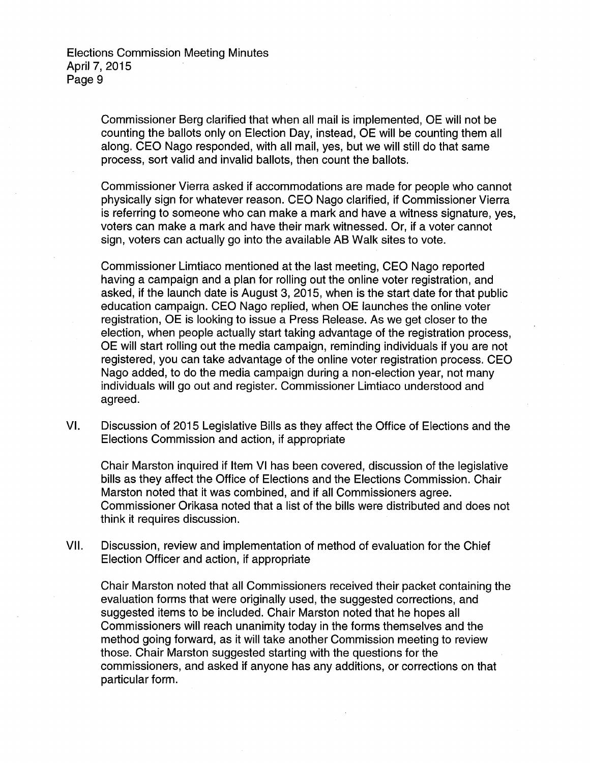Commissioner Berg clarified that when all mail is implemented, OE will not be counting the ballots only on Election Day, instead, OE will be counting them all along. CEO Nago responded, with all mail, yes, but we will still do that same process, sort valid and invalid ballots, then count the ballots.

Commissioner Vierra asked if accommodations are made for people who cannot physically sign for whatever reason. CEO Nago clarified, if Commissioner Vierra is referring to someone who can make a mark and have a witness signature, yes, voters can make a mark and have their mark witnessed. Or, if a voter cannot sign, voters can actually go into the available AB Walk sites to vote.

Commissioner Limtiaco mentioned at the last meeting, CEO Nago reported having a campaign and a plan for rolling out the online voter registration, and asked, if the launch date is August 3, 2015, when is the start date for that public education campaign. CEO Nago replied, when OE launches the online voter registration, OE is looking to issue a Press Release. As we get closer to the election, when people actually start taking advantage of the registration process, OE will start rolling out the media campaign, reminding individuals if you are not registered, you can take advantage of the online voter registration process. CEO Nago added, to do the media campaign during a non-election year, not many individuals will go out and register. Commissioner Limtiaco understood and agreed.

VI. Discussion of 2015 Legislative Bills as they affect the Office of Elections and the Elections Commission and action, if appropriate

Chair Marston inquired if Item VI has been covered, discussion of the legislative bills as they affect the Office of Elections and the Elections Commission. Chair Marston noted that it was combined, and if all Commissioners agree. Commissioner Orikasa noted that a list of the bills were distributed and does not think it requires discussion.

VII. Discussion, review and implementation of method of evaluation for the Chief Election Officer and action, if appropriate

Chair Marston noted that all Commissioners received their packet containing the evaluation forms that were originally used, the suggested corrections, and suggested items to be included. Chair Marston noted that he hopes all Commissioners will reach unanimity today in the forms themselves and the method going forward, as it will take another Commission meeting to review those. Chair Marston suggested starting with the questions for the commissioners, and asked if anyone has any additions, or corrections on that particular form.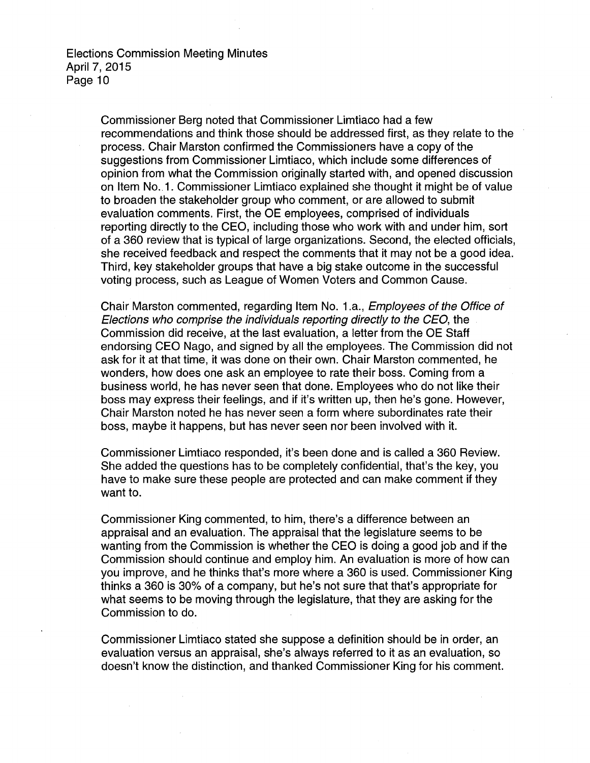> Commissioner Berg noted that Commissioner Limtiaco had a few recommendations and think those should be addressed first, as they relate to the process. Chair Marston confirmed the Commissioners have a copy of the suggestions from Commissioner Limtiaco, which include some differences of opinion from what the Commission originally started with, and opened discussion on Item No. 1. Commissioner Limtiaco explained she thought it might be of value to broaden the stakeholder group who comment, or are allowed to submit evaluation comments. First, the OE employees, comprised of individuals reporting directly to the CEO, including those who work with and under him, sort of a 360 review that is typical of large organizations. Second, the elected officials, she received feedback and respect the comments that it may not be a good idea. Third, key stakeholder groups that have a big stake outcome in the successful voting process, such as League of Women Voters and Common Cause.

> Chair Marston commented, regarding Item No. 1.a., Employees of the Office of Elections who comprise the individuals reporting directly to the CEO, the Commission did receive, at the last evaluation, a letter from the OE Staff endorsing CEO Nago, and signed by all the employees. The Commission did not ask for it at that time, it was done on their own. Chair Marston commented, he wonders, how does one ask an employee to rate their boss. Coming from a business world, he has never seen that done. Employees who do not like their boss may express their feelings, and if it's written up, then he's gone. However, Chair Marston noted he has never seen a form where subordinates rate their boss, maybe it happens, but has never seen nor been involved with it.

Commissioner Limtiaco responded, it's been done and is called a 360 Review. She added the questions has to be completely confidential, that's the key, you have to make sure these people are protected and can make comment if they want to.

Commissioner King commented, to him, there's a difference between an appraisal and an evaluation. The appraisal that the legislature seems to be wanting from the Commission is whether the CEO is doing a good job and if the Commission should continue and employ him. An evaluation is more of how can you improve, and he thinks that's more where a 360 is used. Commissioner King thinks a 360 is 30% of a company, but he's not sure that that's appropriate for what seems to be moving through the legislature, that they are asking for the Commission to do.

Commissioner Limtiaco stated she suppose a definition should be in order, an evaluation versus an appraisal, she's always referred to it as an evaluation, so doesn't know the distinction, and thanked Commissioner King for his comment.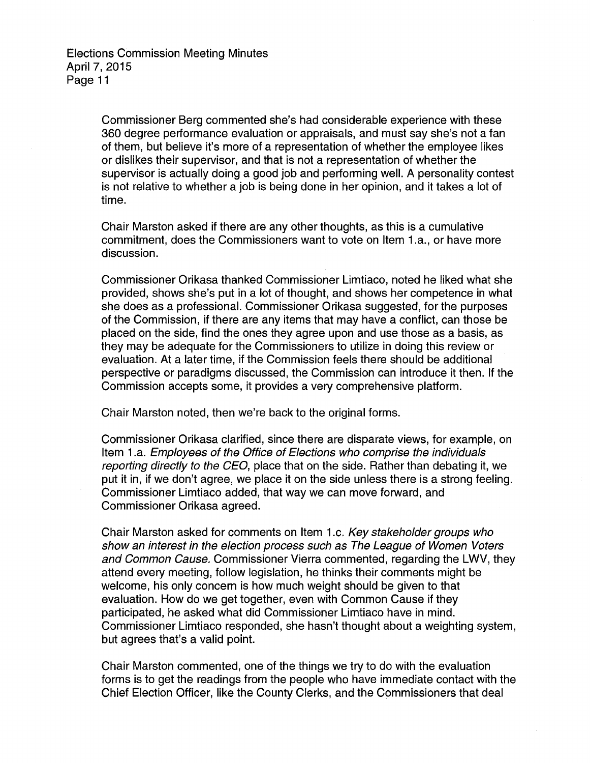> Commissioner Berg commented she's had considerable experience with these 360 degree performance evaluation or appraisals, and must say she's not a fan of them, but believe it's more of a representation of whether the employee likes or dislikes their supervisor, and that is not a representation of whether the supervisor is actually doing a good job and performing well. A personality contest is not relative to whether a job is being done in her opinion, and it takes a lot of time.

Chair Marston asked if there are any other thoughts, as this is a cumulative commitment, does the Commissioners want to vote on Item 1.a., or have more discussion.

Commissioner Orikasa thanked Commissioner Limtiaco, noted he liked what she provided, shows she's put in a lot of thought, and shows her competence in what she does as a professional. Commissioner Orikasa suggested, for the purposes of the Commission, if there are any items that may have a conflict, can those be placed on the side, find the ones they agree upon and use those as a basis, as they may be adequate for the Commissioners to utilize in doing this review or evaluation. At a later time, if the Commission feels there should be additional perspective or paradigms discussed, the Commission can introduce it then. If the Commission accepts some, it provides a very comprehensive platform.

Chair Marston noted, then we're back to the original forms.

Commissioner Orikasa clarified, since there are disparate views, for example, on Item 1 .a. Employees of the Office of Elections who comprise the individuals reporting directly to the CEO, place that on the side. Rather than debating it, we put it in, if we don't agree, we place it on the side unless there is a strong feeling. Commissioner Limtiaco added, that way we can move forward, and Commissioner Orikasa agreed.

Chair Marston asked for comments on Item 1.c. Key stakeholder groups who show an interest in the election process such as The League of Women Voters and Common Cause. Commissioner Vierra commented, regarding the LWV, they attend every meeting, follow legislation, he thinks their comments might be welcome, his only concern is how much weight should be given to that evaluation. How do we get together, even with Common Cause if they participated, he asked what did Commissioner Limtiaco have in mind. Commissioner Limtiaco responded, she hasn't thought about a weighting system, but agrees that's a valid point.

Chair Marston commented, one of the things we try to do with the evaluation forms is to get the readings from the people who have immediate contact with the Chief Election Officer, like the County Clerks, and the Commissioners that deal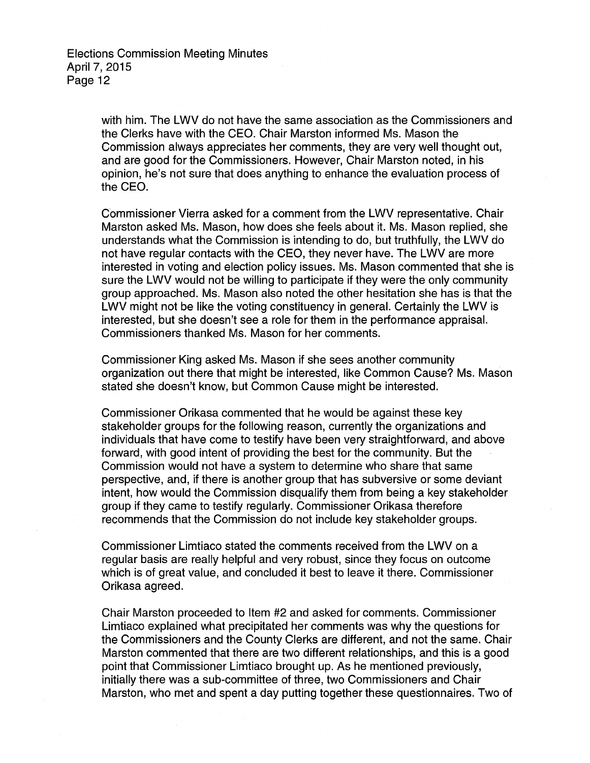> with him. The LWV do not have the same association as the Commissioners and the Clerks have with the CEO. Chair Marston informed Ms. Mason the Commission always appreciates her comments, they are very well thought out, and are good for the Commissioners. However, Chair Marston noted, in his opinion, he's not sure that does anything to enhance the evaluation process of the CEO.

> Commissioner Vierra asked for a comment from the LWV representative. Chair Marston asked Ms. Mason, how does she feels about it. Ms. Mason replied, she understands what the Commission is intending to do, but truthfully, the LWV do not have regular contacts with the CEO, they never have. The LWV are more interested in voting and election policy issues. Ms. Mason commented that she is sure the LWV would not be willing to participate if they were the only community group approached. Ms. Mason also noted the other hesitation she has is that the LWV might not be like the voting constituency in general. Certainly the LWV is interested, but she doesn't see a role for them in the performance appraisal. Commissioners thanked Ms. Mason for her comments.

> Commissioner King asked Ms. Mason if she sees another community organization out there that might be interested, like Common Cause? Ms. Mason stated she doesn't know, but Common Cause might be interested.

Commissioner Orikasa commented that he would be against these key stakeholder groups for the following reason, currently the organizations and individuals that have come to testify have been very straightforward, and above forward, with good intent of providing the best for the community. But the Commission would not have a system to determine who share that same perspective, and, if there is another group that has subversive or some deviant intent, how would the Commission disqualify them from being a key stakeholder group if they came to testify regularly. Commissioner Orikasa therefore recommends that the Commission do not include key stakeholder groups.

Commissioner Limtiaco stated the comments received from the LWV on a regular basis are really helpful and very robust, since they focus on outcome which is of great value, and concluded it best to leave it there. Commissioner Orikasa agreed.

Chair Marston proceeded to Item #2 and asked for comments. Commissioner Limtiaco explained what precipitated her comments was why the questions for the Commissioners and the County Clerks are different, and not the same. Chair Marston commented that there are two different relationships, and this is a good point that Commissioner Limtiaco brought up. As he mentioned previously, initially there was a sub-committee of three, two Commissioners and Chair Marston, who met and spent a day putting together these questionnaires. Two of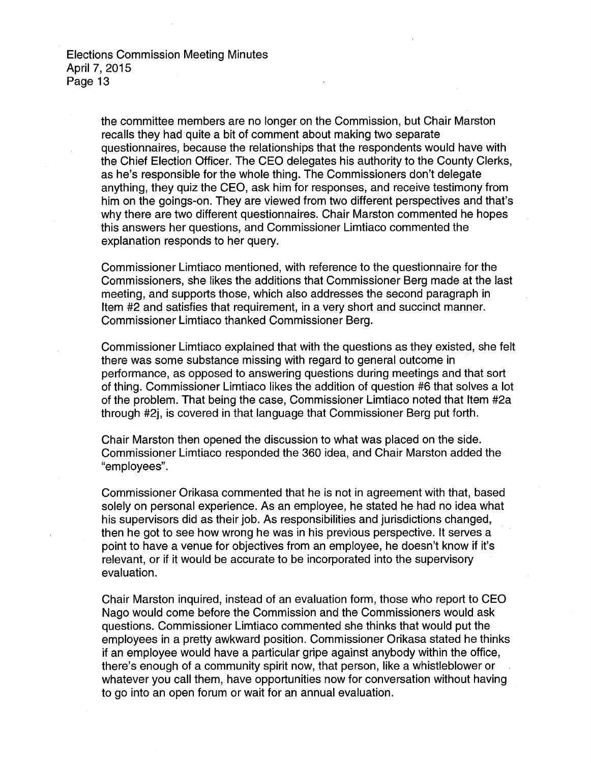> the committee members are no longer on the Commission, but Chair Marston recalls they had quite a bit of comment about making two separate questionnaires, because the relationships that the respondents would have with the Chief Election Officer. The CEO delegates his authority to the County Clerks, as he's responsible for the whole thing. The Commissioners don't delegate anything, they quiz the CEO, ask him for responses, and receive testimony from him on the goings-on. They are viewed from two different perspectives and that's why there are two different questionnaires. Chair Marston commented he hopes this answers her questions, and Commissioner Limtiaco commented the explanation responds to her query.

> Commissioner Limtiaco mentioned, with reference to the questionnaire for the Commissioners, she likes the additions that Commissioner Berg made at the last meeting, and supports those, which also addresses the second paragraph in Item #2 and satisfies that requirement, in a very short and succinct manner. Commissioner Limtiaco thanked Commissioner Berg.

> Commissioner Limtiaco explained that with the questions as they existed, she felt there was some substance missing with regard to general outcome in performance, as opposed to answering questions during meetings and that sort of thing. Commissioner Limtiaco likes the addition of question #6 that solves a lot of the problem. That being the case, Commissioner Limtiaco noted that Item #2a through #2j, is covered in that language that Commissioner Berg put forth.

Chair Marston then opened the discussion to what was placed on the side. Commissioner Limtiaco responded the 360 idea, and Chair Marston added the "employees".

Commissioner Orikasa commented that he is not in agreement with that, based solely on personal experience. As an employee, he stated he had no idea what his supervisors did as their job. As responsibilities and jurisdictions changed, then he got to see how wrong he was in his previous perspective. It serves a point to have a venue for objectives from an employee, he doesn't know if it's relevant, or if it would be accurate to be incorporated into the supervisory evaluation.

Chair Marston inquired, instead of an evaluation form, those who report to CEO Nago would come before the Commission and the Commissioners would ask questions. Commissioner Limtiaco commented she thinks that would put the employees in a pretty awkward position. Commissioner Orikasa stated he thinks if an employee would have a particular gripe against anybody within the office, there's enough of a community spirit now, that person, like a whistleblower or whatever you call them, have opportunities now for conversation without having to go into an open forum or wait for an annual evaluation.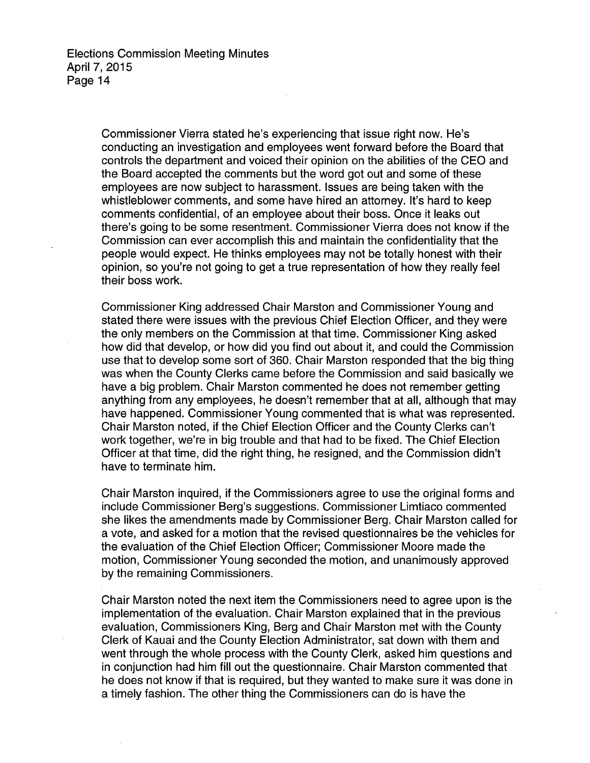> Commissioner Vierra stated he's experiencing that issue right now. He's conducting an investigation and employees went forward before the Board that controls the department and voiced their opinion on the abilities of the CEO and the Board accepted the comments but the word got out and some of these employees are now subject to harassment. Issues are being taken with the whistleblower comments, and some have hired an attorney. It's hard to keep comments confidential, of an employee about their boss. Once it leaks out there's going to be some resentment. Commissioner Vierra does not know if the Commission can ever accomplish this and maintain the confidentiality that the people would expect. He thinks employees may not be totally honest with their opinion, so you're not going to get a true representation of how they really feel their boss work.

Commissioner King addressed Chair Marston and Commissioner Young and stated there were issues with the previous Chief Election Officer, and they were the only members on the Commission at that time. Commissioner King asked how did that develop, or how did you find out about it, and could the Commission use that to develop some sort of 360. Chair Marston responded that the big thing was when the County Clerks came before the Commission and said basically we have a big problem. Chair Marston commented he does not remember getting anything from any employees, he doesn't remember that at all, although that may have happened. Commissioner Young commented that is what was represented. Chair Marston noted, if the Chief Election Officer and the County Clerks can't work together, we're in big trouble and that had to be fixed. The Chief Election Officer at that time, did the right thing, he resigned, and the Commission didn't have to terminate him.

Chair Marston inquired, if the Commissioners agree to use the original forms and include Commissioner Berg's suggestions. Commissioner Limtiaco commented she likes the amendments made by Commissioner Berg. Chair Marston called for a vote, and asked for a motion that the revised questionnaires be the vehicles for the evaluation of the Chief Election Officer; Commissioner Moore made the motion, Commissioner Young seconded the motion, and unanimously approved by the remaining Commissioners.

Chair Marston noted the next item the Commissioners need to agree upon is the implementation of the evaluation. Chair Marston explained that in the previous evaluation, Commissioners King, Berg and Chair Marston met with the County Clerk of Kauai and the County Election Administrator, sat down with them and went through the whole process with the County Clerk, asked him questions and in conjunction had him fill out the questionnaire. Chair Marston commented that he does not know if that is required, but they wanted to make sure it was done in a timely fashion. The other thing the Commissioners can do is have the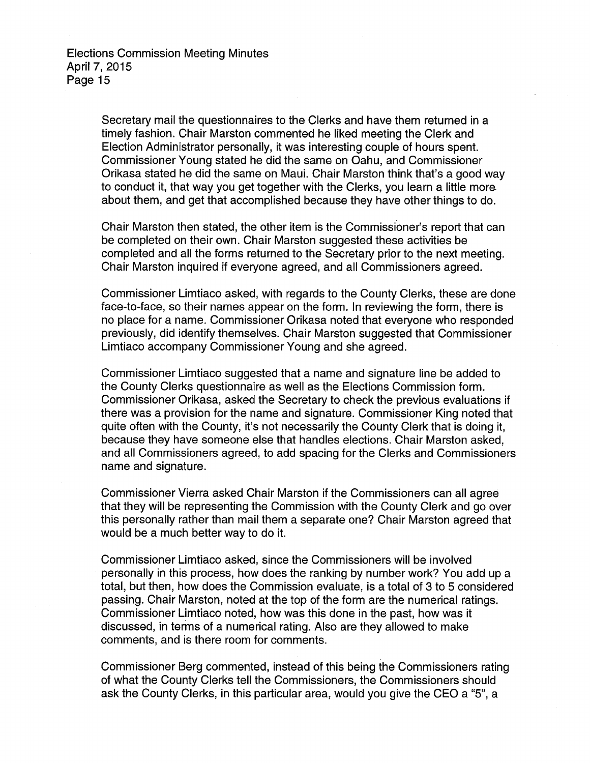Secretary mail the questionnaires to the Clerks and have them returned in a timely fashion. Chair Marston commented he liked meeting the Clerk and Election Administrator personally, it was interesting couple of hours spent. Commissioner Young stated he did the same on Oahu, and Commissioner Orikasa stated he did the same on Maui. Chair Marston think that's a good way to conduct it, that way you get together with the Clerks, you learn a little more. about them, and get that accomplished because they have other things to do.

Chair Marston then stated, the other item is the Commissioner's report that can be completed on their own. Chair Marston suggested these activities be completed and all the forms returned to the Secretary prior to the next meeting. Chair Marston inquired if everyone agreed, and all Commissioners agreed.

Commissioner Limtiaco asked, with regards to the County Clerks, these are done face-to-face, so their names appear on the form. In reviewing the form, there is no place for a name. Commissioner Orikasa noted that everyone who responded previously, did identify themselves. Chair Marston suggested that Commissioner Limtiaco accompany Commissioner Young and she agreed.

Commissioner Limtiaco suggested that a name and signature line be added to the County Clerks questionnaire as well as the Elections Commission form. Commissioner Orikasa, asked the Secretary to check the previous evaluations if there was a provision for the name and signature. Commissioner King noted that quite often with the County, it's not necessarily the County Clerk that is doing it, because they have someone else that handles elections. Chair Marston asked, and all Commissioners agreed, to add spacing for the Clerks and Commissioners name and signature.

Commissioner Vierra asked Chair Marston if the Commissioners can all agree that they will be representing the Commission with the County Clerk and go over this personally rather than mail them a separate one? Chair Marston agreed that would be a much better way to do it.

Commissioner Limtiaco asked, since the Commissioners will be involved personally in this process, how does the ranking by number work? You add up a total, but then, how does the Commission evaluate, is a total of 3 to 5 considered passing. Chair Marston, noted at the top of the form are the numerical ratings. Commissioner Limtiaco noted, how was this done in the past, how was it discussed, in terms of a numerical rating. Also are they allowed to make comments, and is there room for comments.

Commissioner Berg commented, instead of this being the Commissioners rating of what the County Clerks tell the Commissioners, the Commissioners should ask the County Clerks, in this particular area, would you give the CEO a "5", a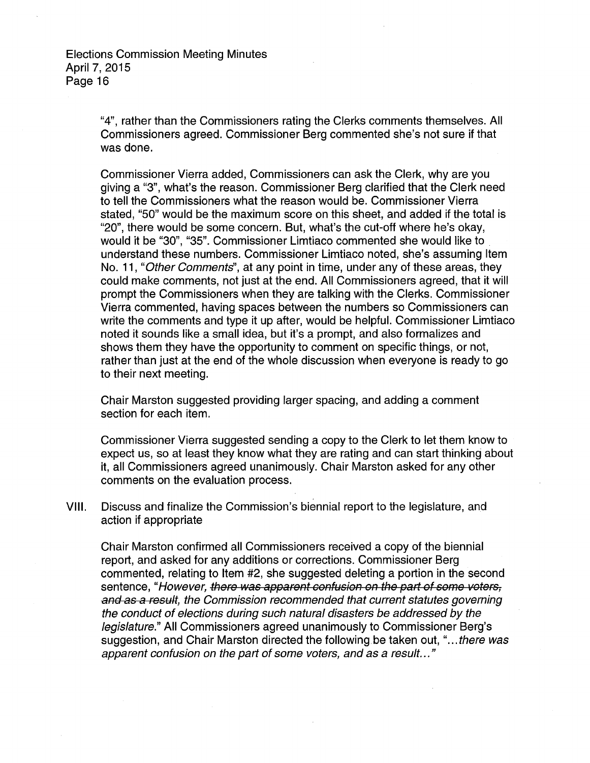"4", rather than the Commissioners rating the Clerks comments themselves. All Commissioners agreed. Commissioner Berg commented she's not sure if that was done.

Commissioner Vierra added, Commissioners can ask the Clerk, why are you giving a "3", what's the reason. Commissioner Berg clarified that the Clerk need to tell the Commissioners what the reason would be. Commissioner Vierra stated, "50" would be the maximum score on this sheet, and added if the total is "20", there would be some concern. But, what's the cut-off where he's okay, would it be "30", "35". Commissioner Limtiaco commented she would like to understand these numbers. Commissioner Limtiaco noted, she's assuming Item No. 11, "Other Comments", at any point in time, under any of these areas, they could make comments, not just at the end. All Commissioners agreed, that it will prompt the Commissioners when they are talking with the Clerks. Commissioner Vierra commented, having spaces between the numbers so Commissioners can write the comments and type it up after, would be helpful. Commissioner Limtiaco noted it sounds like a small idea, but it's a prompt, and also formalizes and shows them they have the opportunity to comment on specific things, or not, rather than just at the end of the whole discussion when everyone is ready to go to their next meeting.

Chair Marston suggested providing larger spacing, and adding a comment section for each item.

Commissioner Vierra suggested sending a copy to the Clerk to let them know to expect us, so at least they know what they are rating and can start thinking about it, all Commissioners agreed unanimously. Chair Marston asked for any other comments on the evaluation process.

VIII. Discuss and finalize the Commission's biennial report to the legislature, and action if appropriate

Chair Marston confirmed all Commissioners received a copy of the biennial report, and asked for any additions or corrections. Commissioner Berg commented, relating to Item #2, she suggested deleting a portion in the second sentence, "However, there was apparent confusion on the part of some voters, and as a result, the Commission recommended that current statutes governing the conduct of elections during such natural disasters be addressed by the legislature." All Commissioners agreed unanimously to Commissioner Berg's suggestion, and Chair Marston directed the following be taken out, "... there was apparent confusion on the part of some voters, and as a result. .. "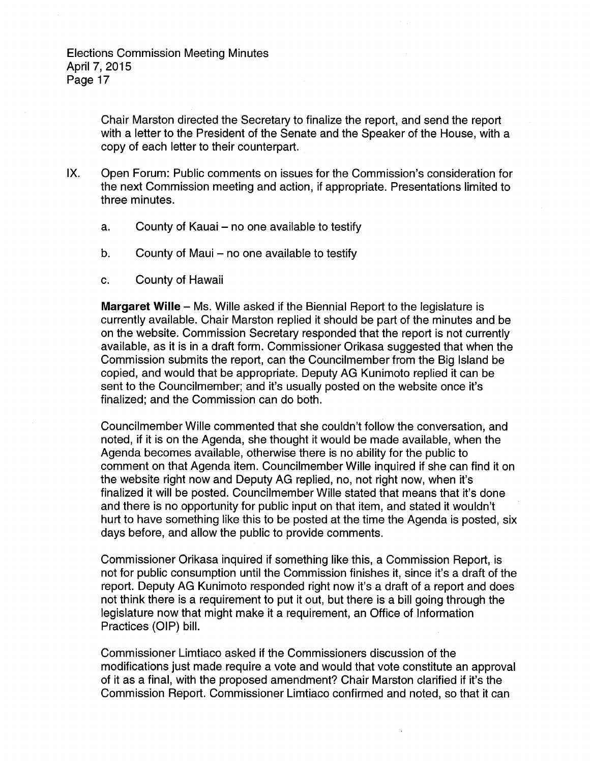Chair Marston directed the Secretary to finalize the report, and send the report with a letter to the President of the Senate and the Speaker of the House, with a copy of each letter to their counterpart.

- IX. Open Forum: Public comments on issues for the Commission's consideration for the next Commission meeting and action, if appropriate. Presentations limited to three minutes.
	- $a.$  County of Kauai no one available to testify
	- $b.$  County of Maui no one available to testify
	- c. County of Hawaii

**Margaret Wille-** Ms. Wille asked if the Biennial Report to the legislature is currently available. Chair Marston replied it should be part of the minutes and be on the website. Commission Secretary responded that the report is not currently available, as it is in a draft form. Commissioner Orikasa suggested that when the Commission submits the report, can the Council member from the Big Island be copied, and would that be appropriate. Deputy AG Kunimoto replied it can be sent to the Councilmember; and it's usually posted on the website once it's finalized; and the Commission can do both.

Councilmember Wille commented that she couldn't follow the conversation, and noted, if it is on the Agenda, she thought it would be made available, when the Agenda becomes available, otherwise there is no ability for the public to comment on that Agenda item. Councilmember Wille inquired if she can find it on the website right now and Deputy AG replied, no, not right now, when it's finalized it will be posted. Councilmember Wille stated that means that it's done and there is no opportunity for public input on that item, and stated it wouldn't hurt to have something like this to be posted at the time the Agenda is posted, six days before, and allow the public to provide comments.

Commissioner Orikasa inquired if something like this, a Commission Report, is not for public consumption until the Commission finishes it, since it's a draft of the report. Deputy AG Kunimoto responded right now it's a draft of a report and does not think there is a requirement to put it out, but there is a bill going through the legislature now that might make it a requirement, an Office of Information Practices (OIP) bill.

Commissioner Limtiaco asked if the Commissioners discussion of the modifications just made require a vote and would that vote constitute an approval of it as a final, with the proposed amendment? Chair Marston clarified if it's the Commission Report. Commissioner Limtiaco confirmed and noted, so that it can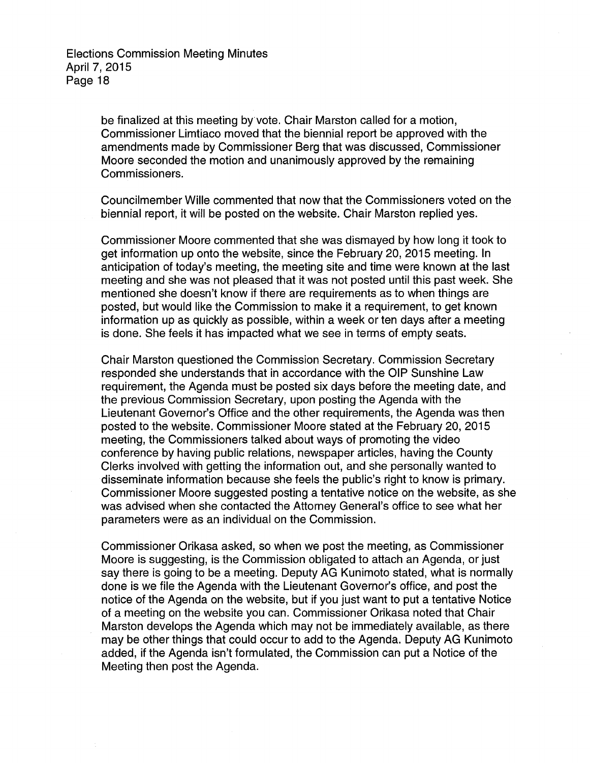> be finalized at this meeting by· vote. Chair Marston called for a motion, Commissioner Limtiaco moved that the biennial report be approved with the amendments made by Commissioner Berg that was discussed, Commissioner Moore seconded the motion and unanimously approved by the remaining Commissioners.

Councilmember Wille commented that now that the Commissioners voted on the biennial report, it will be posted on the website. Chair Marston replied yes.

Commissioner Moore commented that she was dismayed by how long it took to get information up onto the website, since the February 20, 2015 meeting. In anticipation of today's meeting, the meeting site and time were known at the last meeting and she was not pleased that it was not posted until this past week. She mentioned she doesn't know if there are requirements as to when things are posted, but would like the Commission to make it a requirement, to get known information up as quickly as possible, within a week or ten days after a meeting is done. She feels it has impacted what we see in terms of empty seats.

Chair Marston questioned the Commission Secretary. Commission Secretary responded she understands that in accordance with the OIP Sunshine Law requirement, the Agenda must be posted six days before the meeting date, and the previous Commission Secretary, upon posting the Agenda with the Lieutenant Governor's Office and the other requirements, the Agenda was then posted to the website. Commissioner Moore stated at the February 20, 2015 meeting, the Commissioners talked about ways of promoting the video conference by having public relations, newspaper articles, having the County Clerks involved with getting the information out, and she personally wanted to disseminate information because she feels the public's right to know is primary. Commissioner Moore suggested posting a tentative notice on the website, as she was advised when she contacted the Attorney General's office to see what her parameters were as an individual on the Commission.

Commissioner Orikasa asked, so when we post the meeting, as Commissioner Moore is suggesting, is the Commission obligated to attach an Agenda, or just say there is going to be a meeting. Deputy AG Kunimoto stated, what is normally done is we file the Agenda with the Lieutenant Governor's office, and post the notice of the Agenda on the website, but if you just want to put a tentative Notice of a meeting on the website you can. Commissioner Orikasa noted that Chair Marston develops the Agenda which may not be immediately available, as there may be other things that could occur to add to the Agenda. Deputy AG Kunimoto added, if the Agenda isn't formulated, the Commission can put a Notice of the Meeting then post the Agenda.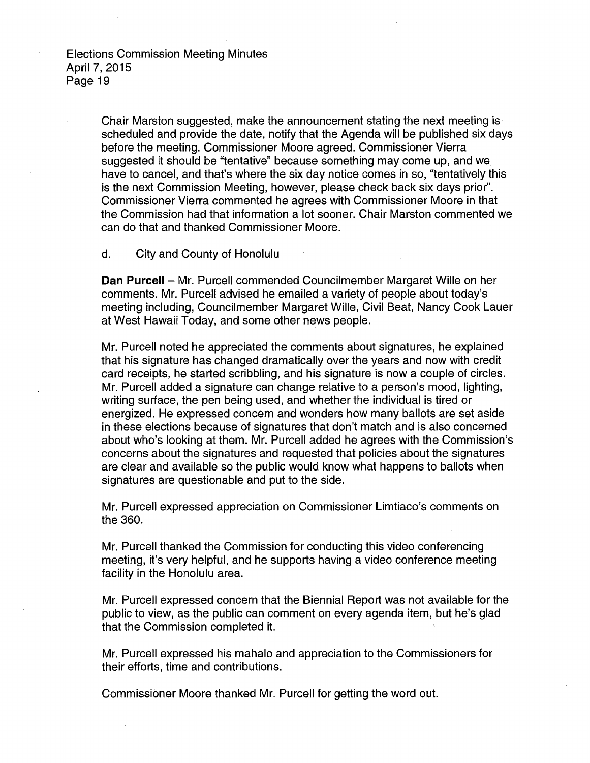> Chair Marston suggested, make the announcement stating the next meeting is scheduled and provide the date, notify that the Agenda will be published six days before the meeting. Commissioner Moore agreed. Commissioner Vierra suggested it should be "tentative" because something may come up, and we have to cancel, and that's where the six day notice comes in so, "tentatively this is the next Commission Meeting, however, please check back six days prior''. Commissioner Vierra commented he agrees with Commissioner Moore in that the Commission had that information a lot sooner. Chair Marston commented we can do that and thanked Commissioner Moore.

d. City and County of Honolulu

**Dan Purcell - Mr. Purcell commended Councilmember Margaret Wille on her** comments. Mr. Purcell advised he emailed a variety of people about today's meeting including, Councilmember Margaret Wille, Civil Beat, Nancy Cook Lauer at West Hawaii Today, and some other news people.

Mr. Purcell noted he appreciated the comments about signatures, he explained that his signature has changed dramatically over the years and now with credit card receipts, he started scribbling, and his signature is now a couple of circles. Mr. Purcell added a signature can change relative to a person's mood, lighting, writing surface, the pen being used, and whether the individual is tired or energized. He expressed concern and wonders how many ballots are set aside in these elections because of signatures that don't match and is also concerned about who's looking at them. Mr. Purcell added he agrees with the Commission's concerns about the signatures and requested that policies about the signatures are clear and available so the public would know what happens to ballots when signatures are questionable and put to the side.

Mr. Purcell expressed appreciation on Commissioner Limtiaco's comments on the 360.

Mr. Purcell thanked the Commission for conducting this video conferencing meeting, it's very helpful, and he supports having a video conference meeting facility in the Honolulu area.

Mr. Purcell expressed concern that the Biennial Report was not available for the public to view, as the public can comment on every agenda item, but he's glad that the Commission completed it.

Mr. Purcell expressed his mahalo and appreciation to the Commissioners for their efforts, time and contributions.

Commissioner Moore thanked Mr. Purcell for getting the word out.